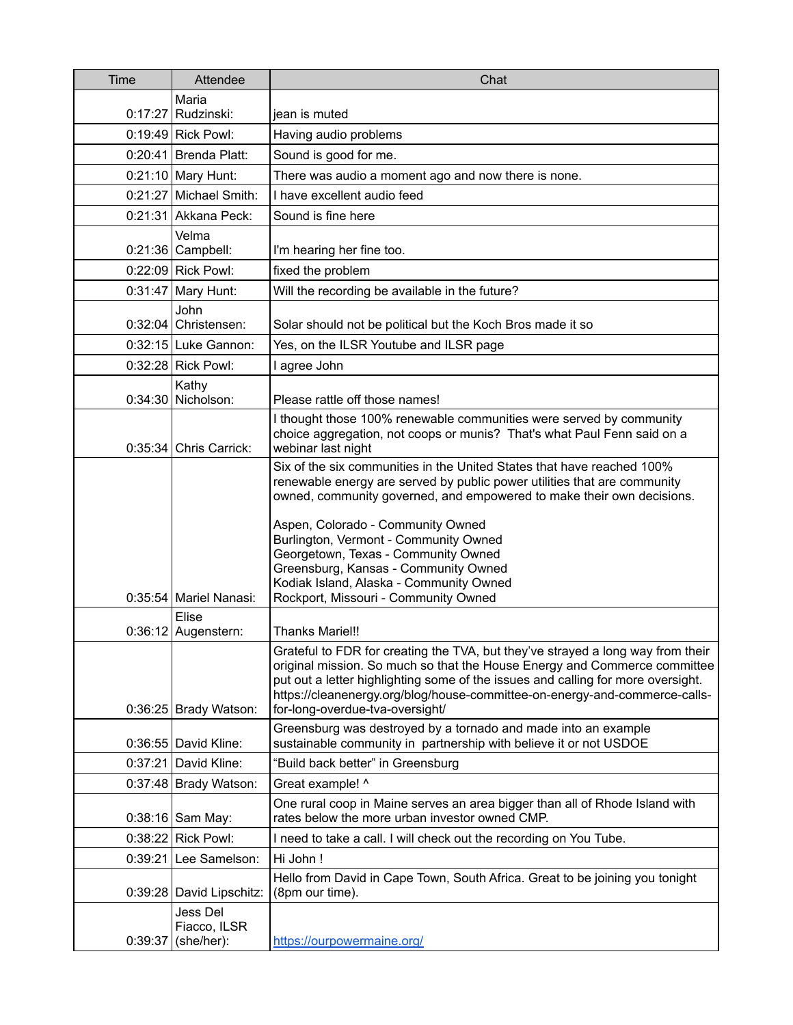| Time    | Attendee                               | Chat                                                                                                                                                                                                                                                                                                                                                                                                                                                                        |
|---------|----------------------------------------|-----------------------------------------------------------------------------------------------------------------------------------------------------------------------------------------------------------------------------------------------------------------------------------------------------------------------------------------------------------------------------------------------------------------------------------------------------------------------------|
|         | Maria<br>$0:17:27$ Rudzinski:          | jean is muted                                                                                                                                                                                                                                                                                                                                                                                                                                                               |
|         | $0:19:49$ Rick Powl:                   | Having audio problems                                                                                                                                                                                                                                                                                                                                                                                                                                                       |
|         | 0:20:41 Brenda Platt:                  | Sound is good for me.                                                                                                                                                                                                                                                                                                                                                                                                                                                       |
|         | 0:21:10 Mary Hunt:                     | There was audio a moment ago and now there is none.                                                                                                                                                                                                                                                                                                                                                                                                                         |
|         | 0:21:27 Michael Smith:                 | I have excellent audio feed                                                                                                                                                                                                                                                                                                                                                                                                                                                 |
|         | 0:21:31 Akkana Peck:                   | Sound is fine here                                                                                                                                                                                                                                                                                                                                                                                                                                                          |
|         | Velma<br>$0:21:36$ Campbell:           | I'm hearing her fine too.                                                                                                                                                                                                                                                                                                                                                                                                                                                   |
|         | 0:22:09 Rick Powl:                     | fixed the problem                                                                                                                                                                                                                                                                                                                                                                                                                                                           |
|         | $0:31:47$ Mary Hunt:                   | Will the recording be available in the future?                                                                                                                                                                                                                                                                                                                                                                                                                              |
| 0:32:04 | John<br>Christensen:                   | Solar should not be political but the Koch Bros made it so                                                                                                                                                                                                                                                                                                                                                                                                                  |
|         | 0:32:15 Luke Gannon:                   | Yes, on the ILSR Youtube and ILSR page                                                                                                                                                                                                                                                                                                                                                                                                                                      |
|         | 0:32:28 Rick Powl:                     | I agree John                                                                                                                                                                                                                                                                                                                                                                                                                                                                |
|         | Kathy<br>0:34:30 Nicholson:            | Please rattle off those names!                                                                                                                                                                                                                                                                                                                                                                                                                                              |
|         | $0:35:34$ Chris Carrick:               | I thought those 100% renewable communities were served by community<br>choice aggregation, not coops or munis? That's what Paul Fenn said on a<br>webinar last night                                                                                                                                                                                                                                                                                                        |
|         | 0:35:54 Mariel Nanasi:                 | Six of the six communities in the United States that have reached 100%<br>renewable energy are served by public power utilities that are community<br>owned, community governed, and empowered to make their own decisions.<br>Aspen, Colorado - Community Owned<br>Burlington, Vermont - Community Owned<br>Georgetown, Texas - Community Owned<br>Greensburg, Kansas - Community Owned<br>Kodiak Island, Alaska - Community Owned<br>Rockport, Missouri - Community Owned |
|         | Elise<br>0:36:12 Augenstern:           | <b>Thanks Mariel!!</b>                                                                                                                                                                                                                                                                                                                                                                                                                                                      |
|         | $0:36:25$ Brady Watson:                | Grateful to FDR for creating the TVA, but they've strayed a long way from their<br>original mission. So much so that the House Energy and Commerce committee<br>put out a letter highlighting some of the issues and calling for more oversight.<br>https://cleanenergy.org/blog/house-committee-on-energy-and-commerce-calls-<br>for-long-overdue-tva-oversight/                                                                                                           |
|         | 0:36:55 David Kline:                   | Greensburg was destroyed by a tornado and made into an example<br>sustainable community in partnership with believe it or not USDOE                                                                                                                                                                                                                                                                                                                                         |
| 0:37:21 | David Kline:                           | "Build back better" in Greensburg                                                                                                                                                                                                                                                                                                                                                                                                                                           |
|         | 0:37:48 Brady Watson:                  | Great example! ^                                                                                                                                                                                                                                                                                                                                                                                                                                                            |
|         | $0:38:16$ Sam May:                     | One rural coop in Maine serves an area bigger than all of Rhode Island with<br>rates below the more urban investor owned CMP.                                                                                                                                                                                                                                                                                                                                               |
| 0:38:22 | <b>Rick Powl:</b>                      | I need to take a call. I will check out the recording on You Tube.                                                                                                                                                                                                                                                                                                                                                                                                          |
| 0:39:21 | Lee Samelson:                          | Hi John!                                                                                                                                                                                                                                                                                                                                                                                                                                                                    |
|         | 0:39:28   David Lipschitz:             | Hello from David in Cape Town, South Africa. Great to be joining you tonight<br>(8pm our time).                                                                                                                                                                                                                                                                                                                                                                             |
| 0:39:37 | Jess Del<br>Fiacco, ILSR<br>(she/her): | https://ourpowermaine.org/                                                                                                                                                                                                                                                                                                                                                                                                                                                  |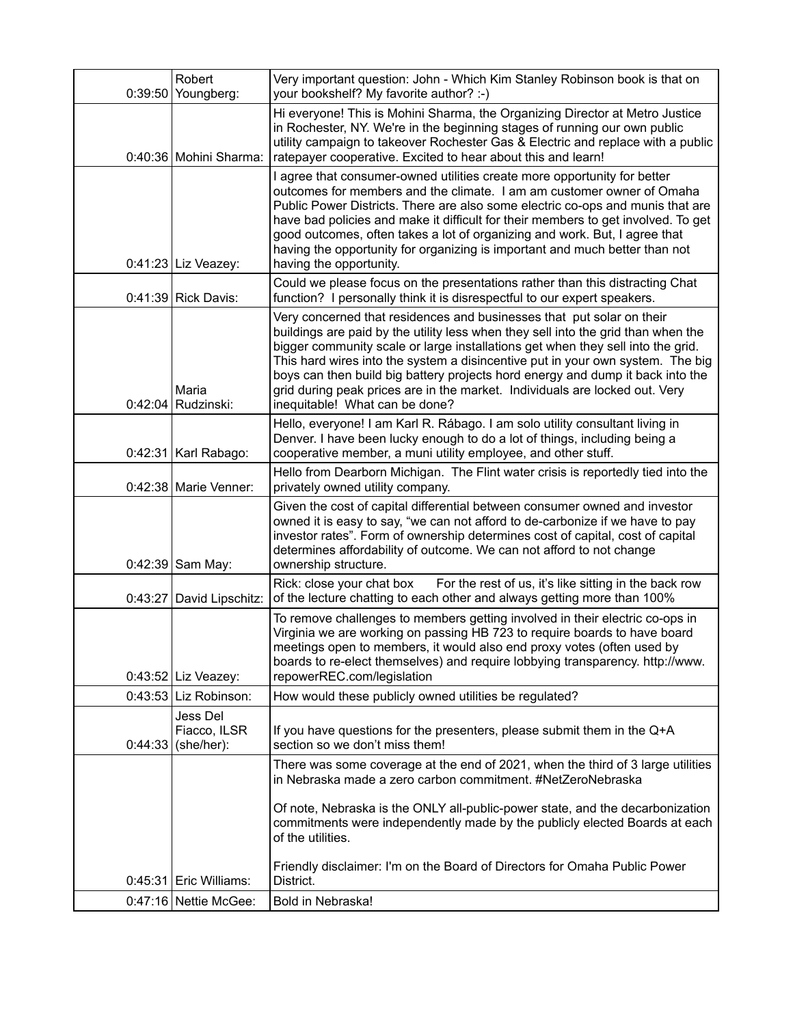| 0:39:50 | Robert<br>Youngberg:                   | Very important question: John - Which Kim Stanley Robinson book is that on<br>your bookshelf? My favorite author? :-)                                                                                                                                                                                                                                                                                                                                                                                                              |
|---------|----------------------------------------|------------------------------------------------------------------------------------------------------------------------------------------------------------------------------------------------------------------------------------------------------------------------------------------------------------------------------------------------------------------------------------------------------------------------------------------------------------------------------------------------------------------------------------|
|         | 0:40:36 Mohini Sharma:                 | Hi everyone! This is Mohini Sharma, the Organizing Director at Metro Justice<br>in Rochester, NY. We're in the beginning stages of running our own public<br>utility campaign to takeover Rochester Gas & Electric and replace with a public<br>ratepayer cooperative. Excited to hear about this and learn!                                                                                                                                                                                                                       |
|         | $0:41:23$ Liz Veazey:                  | I agree that consumer-owned utilities create more opportunity for better<br>outcomes for members and the climate. I am am customer owner of Omaha<br>Public Power Districts. There are also some electric co-ops and munis that are<br>have bad policies and make it difficult for their members to get involved. To get<br>good outcomes, often takes a lot of organizing and work. But, I agree that<br>having the opportunity for organizing is important and much better than not<br>having the opportunity.                   |
|         | $0:41:39$ Rick Davis:                  | Could we please focus on the presentations rather than this distracting Chat<br>function? I personally think it is disrespectful to our expert speakers.                                                                                                                                                                                                                                                                                                                                                                           |
|         | Maria<br>$0:42:04$ Rudzinski:          | Very concerned that residences and businesses that put solar on their<br>buildings are paid by the utility less when they sell into the grid than when the<br>bigger community scale or large installations get when they sell into the grid.<br>This hard wires into the system a disincentive put in your own system. The big<br>boys can then build big battery projects hord energy and dump it back into the<br>grid during peak prices are in the market. Individuals are locked out. Very<br>inequitable! What can be done? |
|         | 0:42:31   Karl Rabago:                 | Hello, everyone! I am Karl R. Rábago. I am solo utility consultant living in<br>Denver. I have been lucky enough to do a lot of things, including being a<br>cooperative member, a muni utility employee, and other stuff.                                                                                                                                                                                                                                                                                                         |
|         | 0:42:38   Marie Venner:                | Hello from Dearborn Michigan. The Flint water crisis is reportedly tied into the<br>privately owned utility company.                                                                                                                                                                                                                                                                                                                                                                                                               |
|         | 0:42:39 Sam May:                       | Given the cost of capital differential between consumer owned and investor<br>owned it is easy to say, "we can not afford to de-carbonize if we have to pay<br>investor rates". Form of ownership determines cost of capital, cost of capital<br>determines affordability of outcome. We can not afford to not change<br>ownership structure.                                                                                                                                                                                      |
|         | 0:43:27 David Lipschitz:               | For the rest of us, it's like sitting in the back row<br>Rick: close your chat box<br>of the lecture chatting to each other and always getting more than 100%                                                                                                                                                                                                                                                                                                                                                                      |
|         | $0:43:52$ Liz Veazey:                  | To remove challenges to members getting involved in their electric co-ops in<br>Virginia we are working on passing HB 723 to require boards to have board<br>meetings open to members, it would also end proxy votes (often used by<br>boards to re-elect themselves) and require lobbying transparency. http://www.<br>repowerREC.com/legislation                                                                                                                                                                                 |
|         | 0:43:53 Liz Robinson:                  | How would these publicly owned utilities be regulated?                                                                                                                                                                                                                                                                                                                                                                                                                                                                             |
| 0:44:33 | Jess Del<br>Fiacco, ILSR<br>(she/her): | If you have questions for the presenters, please submit them in the Q+A<br>section so we don't miss them!                                                                                                                                                                                                                                                                                                                                                                                                                          |
|         |                                        | There was some coverage at the end of 2021, when the third of 3 large utilities<br>in Nebraska made a zero carbon commitment. #NetZeroNebraska<br>Of note, Nebraska is the ONLY all-public-power state, and the decarbonization<br>commitments were independently made by the publicly elected Boards at each<br>of the utilities.                                                                                                                                                                                                 |
|         | $0:45:31$ Eric Williams:               | Friendly disclaimer: I'm on the Board of Directors for Omaha Public Power<br>District.                                                                                                                                                                                                                                                                                                                                                                                                                                             |
|         | 0:47:16 Nettie McGee:                  | Bold in Nebraska!                                                                                                                                                                                                                                                                                                                                                                                                                                                                                                                  |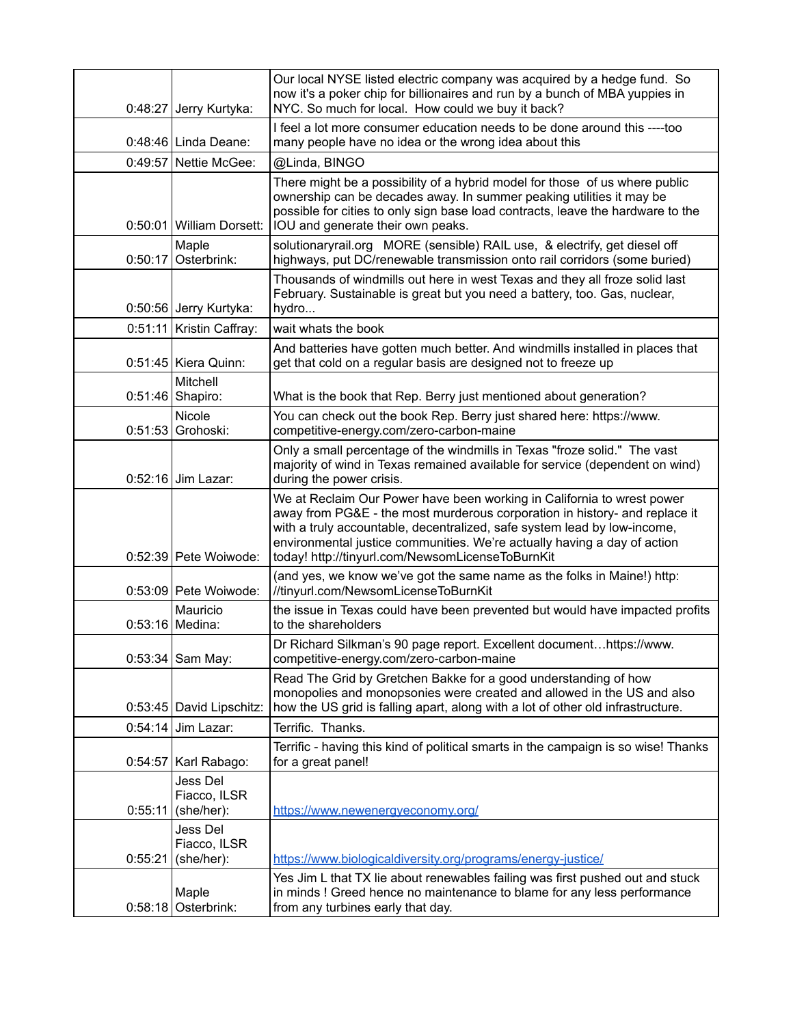|         | 0:48:27 Jerry Kurtyka:                 | Our local NYSE listed electric company was acquired by a hedge fund. So<br>now it's a poker chip for billionaires and run by a bunch of MBA yuppies in<br>NYC. So much for local. How could we buy it back?                                                                                                                                                      |
|---------|----------------------------------------|------------------------------------------------------------------------------------------------------------------------------------------------------------------------------------------------------------------------------------------------------------------------------------------------------------------------------------------------------------------|
|         | 0:48:46 Linda Deane:                   | I feel a lot more consumer education needs to be done around this ----too<br>many people have no idea or the wrong idea about this                                                                                                                                                                                                                               |
|         | 0:49:57 Nettie McGee:                  | @Linda, BINGO                                                                                                                                                                                                                                                                                                                                                    |
|         | 0:50:01 William Dorsett:               | There might be a possibility of a hybrid model for those of us where public<br>ownership can be decades away. In summer peaking utilities it may be<br>possible for cities to only sign base load contracts, leave the hardware to the<br>IOU and generate their own peaks.                                                                                      |
|         | Maple<br>$0:50:17$ Osterbrink:         | solutionaryrail.org MORE (sensible) RAIL use, & electrify, get diesel off<br>highways, put DC/renewable transmission onto rail corridors (some buried)                                                                                                                                                                                                           |
|         | 0:50:56 Jerry Kurtyka:                 | Thousands of windmills out here in west Texas and they all froze solid last<br>February. Sustainable is great but you need a battery, too. Gas, nuclear,<br>hydro                                                                                                                                                                                                |
|         | 0:51:11 Kristin Caffray:               | wait whats the book                                                                                                                                                                                                                                                                                                                                              |
|         | $0:51:45$ Kiera Quinn:                 | And batteries have gotten much better. And windmills installed in places that<br>get that cold on a regular basis are designed not to freeze up                                                                                                                                                                                                                  |
|         | Mitchell<br>0:51:46 Shapiro:           | What is the book that Rep. Berry just mentioned about generation?                                                                                                                                                                                                                                                                                                |
|         | Nicole<br>0:51:53 Grohoski:            | You can check out the book Rep. Berry just shared here: https://www.<br>competitive-energy.com/zero-carbon-maine                                                                                                                                                                                                                                                 |
|         | $0:52:16$ Jim Lazar:                   | Only a small percentage of the windmills in Texas "froze solid." The vast<br>majority of wind in Texas remained available for service (dependent on wind)<br>during the power crisis.                                                                                                                                                                            |
|         | 0:52:39 Pete Woiwode:                  | We at Reclaim Our Power have been working in California to wrest power<br>away from PG&E - the most murderous corporation in history- and replace it<br>with a truly accountable, decentralized, safe system lead by low-income,<br>environmental justice communities. We're actually having a day of action<br>today! http://tinyurl.com/NewsomLicenseToBurnKit |
|         | 0:53:09 Pete Woiwode:                  | (and yes, we know we've got the same name as the folks in Maine!) http:<br>//tinyurl.com/NewsomLicenseToBurnKit                                                                                                                                                                                                                                                  |
| 0:53:16 | Mauricio<br>Medina:                    | the issue in Texas could have been prevented but would have impacted profits<br>to the shareholders                                                                                                                                                                                                                                                              |
|         | 0:53:34 Sam May:                       | Dr Richard Silkman's 90 page report. Excellent documenthttps://www.<br>competitive-energy.com/zero-carbon-maine                                                                                                                                                                                                                                                  |
|         | 0:53:45 David Lipschitz:               | Read The Grid by Gretchen Bakke for a good understanding of how<br>monopolies and monopsonies were created and allowed in the US and also<br>how the US grid is falling apart, along with a lot of other old infrastructure.                                                                                                                                     |
| 0:54:14 | Jim Lazar:                             | Terrific. Thanks.                                                                                                                                                                                                                                                                                                                                                |
| 0:54:57 | Karl Rabago:                           | Terrific - having this kind of political smarts in the campaign is so wise! Thanks<br>for a great panel!                                                                                                                                                                                                                                                         |
| 0:55:11 | Jess Del<br>Fiacco, ILSR<br>(she/her): | https://www.newenergyeconomy.org/                                                                                                                                                                                                                                                                                                                                |
| 0:55:21 | Jess Del<br>Fiacco, ILSR<br>(she/her): | https://www.biologicaldiversity.org/programs/energy-justice/                                                                                                                                                                                                                                                                                                     |
|         | Maple<br>0:58:18 Osterbrink:           | Yes Jim L that TX lie about renewables failing was first pushed out and stuck<br>in minds! Greed hence no maintenance to blame for any less performance<br>from any turbines early that day.                                                                                                                                                                     |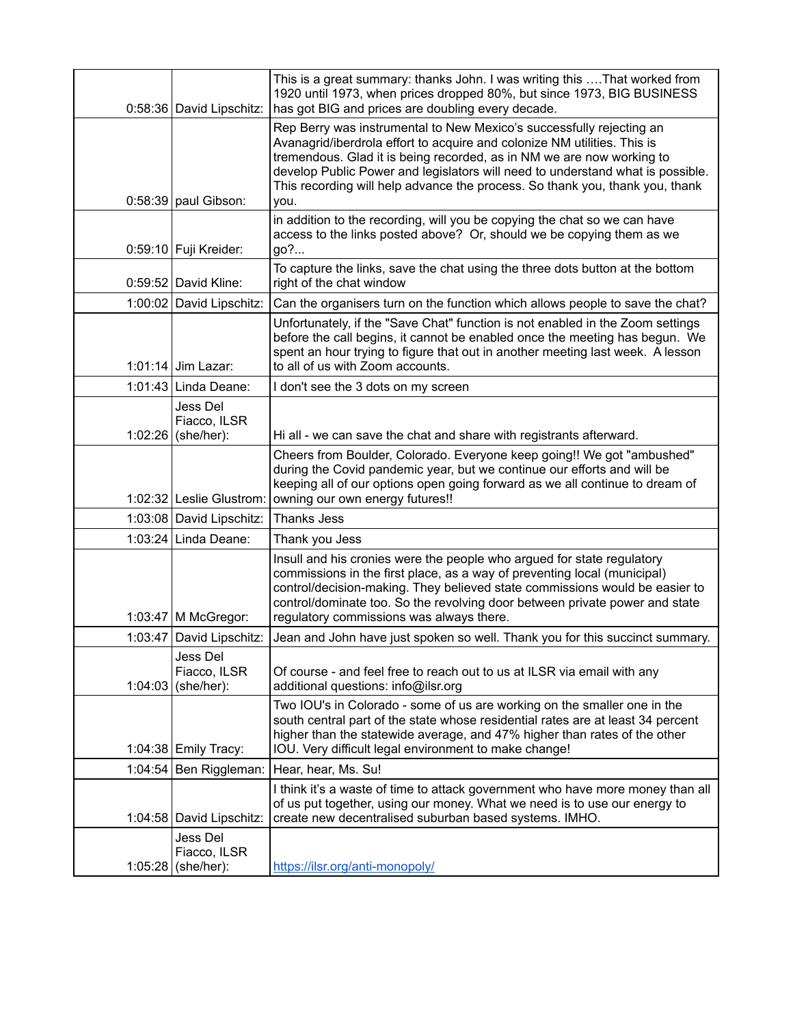|         | 0:58:36 David Lipschitz:                       | This is a great summary: thanks John. I was writing this  That worked from<br>1920 until 1973, when prices dropped 80%, but since 1973, BIG BUSINESS<br>has got BIG and prices are doubling every decade.                                                                                                                                                                                           |
|---------|------------------------------------------------|-----------------------------------------------------------------------------------------------------------------------------------------------------------------------------------------------------------------------------------------------------------------------------------------------------------------------------------------------------------------------------------------------------|
|         | $0:58:39$ paul Gibson:                         | Rep Berry was instrumental to New Mexico's successfully rejecting an<br>Avanagrid/iberdrola effort to acquire and colonize NM utilities. This is<br>tremendous. Glad it is being recorded, as in NM we are now working to<br>develop Public Power and legislators will need to understand what is possible.<br>This recording will help advance the process. So thank you, thank you, thank<br>you. |
|         | 0:59:10 Fuji Kreider:                          | in addition to the recording, will you be copying the chat so we can have<br>access to the links posted above? Or, should we be copying them as we<br>go?                                                                                                                                                                                                                                           |
|         | 0:59:52 David Kline:                           | To capture the links, save the chat using the three dots button at the bottom<br>right of the chat window                                                                                                                                                                                                                                                                                           |
|         | 1:00:02 David Lipschitz:                       | Can the organisers turn on the function which allows people to save the chat?                                                                                                                                                                                                                                                                                                                       |
|         | 1:01:14 Jim Lazar:                             | Unfortunately, if the "Save Chat" function is not enabled in the Zoom settings<br>before the call begins, it cannot be enabled once the meeting has begun. We<br>spent an hour trying to figure that out in another meeting last week. A lesson<br>to all of us with Zoom accounts.                                                                                                                 |
|         | 1:01:43 Linda Deane:                           | I don't see the 3 dots on my screen                                                                                                                                                                                                                                                                                                                                                                 |
|         | Jess Del<br>Fiacco, ILSR<br>1:02:26 (she/her): | Hi all - we can save the chat and share with registrants afterward.                                                                                                                                                                                                                                                                                                                                 |
|         | 1:02:32 Leslie Glustrom:                       | Cheers from Boulder, Colorado. Everyone keep going!! We got "ambushed"<br>during the Covid pandemic year, but we continue our efforts and will be<br>keeping all of our options open going forward as we all continue to dream of<br>owning our own energy futures!!                                                                                                                                |
|         | 1:03:08 David Lipschitz:                       | Thanks Jess                                                                                                                                                                                                                                                                                                                                                                                         |
|         | 1:03:24 Linda Deane:                           | Thank you Jess                                                                                                                                                                                                                                                                                                                                                                                      |
|         | 1:03:47   M McGregor:                          | Insull and his cronies were the people who argued for state regulatory<br>commissions in the first place, as a way of preventing local (municipal)<br>control/decision-making. They believed state commissions would be easier to<br>control/dominate too. So the revolving door between private power and state<br>regulatory commissions was always there.                                        |
|         | 1:03:47 David Lipschitz:                       | Jean and John have just spoken so well. Thank you for this succinct summary.                                                                                                                                                                                                                                                                                                                        |
|         | Jess Del<br>Fiacco, ILSR<br>1:04:03 (she/her): | Of course - and feel free to reach out to us at ILSR via email with any<br>additional questions: info@ilsr.org                                                                                                                                                                                                                                                                                      |
|         | 1:04:38 Emily Tracy:                           | Two IOU's in Colorado - some of us are working on the smaller one in the<br>south central part of the state whose residential rates are at least 34 percent<br>higher than the statewide average, and 47% higher than rates of the other<br>IOU. Very difficult legal environment to make change!                                                                                                   |
|         | 1:04:54 Ben Riggleman:                         | Hear, hear, Ms. Su!                                                                                                                                                                                                                                                                                                                                                                                 |
|         | 1:04:58 David Lipschitz:                       | I think it's a waste of time to attack government who have more money than all<br>of us put together, using our money. What we need is to use our energy to<br>create new decentralised suburban based systems. IMHO.                                                                                                                                                                               |
| 1:05:28 | Jess Del<br>Fiacco, ILSR<br>(she/her):         | https://ilsr.org/anti-monopoly/                                                                                                                                                                                                                                                                                                                                                                     |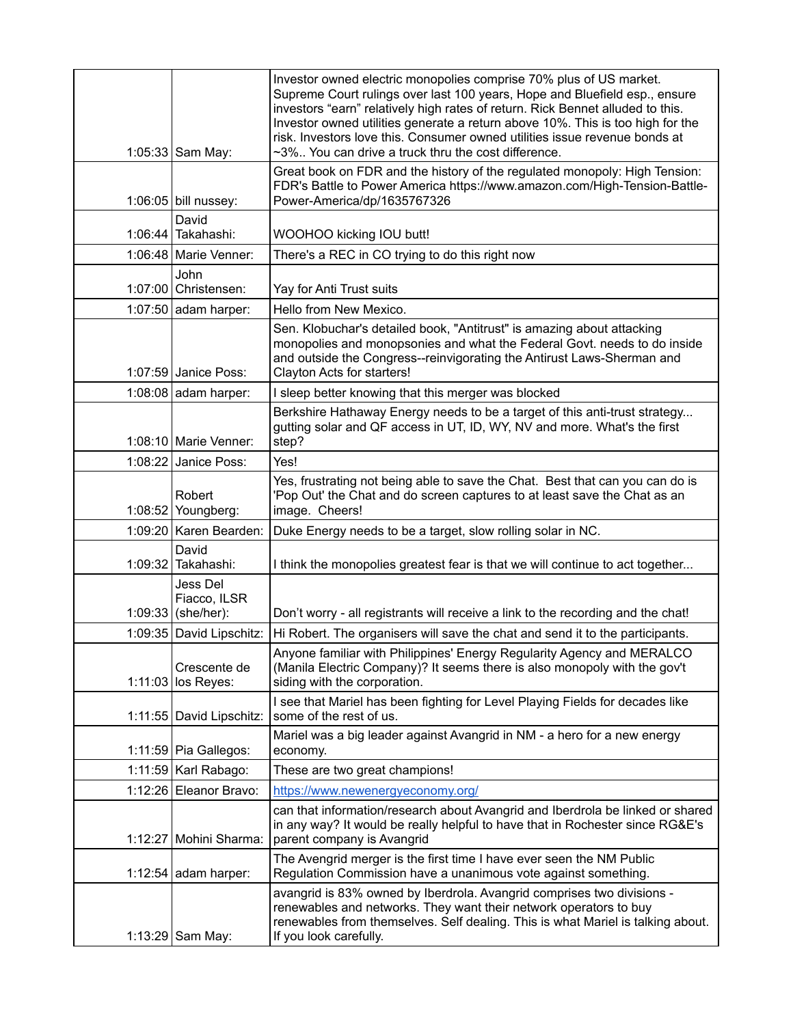|         | 1:05:33 Sam May:                               | Investor owned electric monopolies comprise 70% plus of US market.<br>Supreme Court rulings over last 100 years, Hope and Bluefield esp., ensure<br>investors "earn" relatively high rates of return. Rick Bennet alluded to this.<br>Investor owned utilities generate a return above 10%. This is too high for the<br>risk. Investors love this. Consumer owned utilities issue revenue bonds at<br>~3% You can drive a truck thru the cost difference. |
|---------|------------------------------------------------|-----------------------------------------------------------------------------------------------------------------------------------------------------------------------------------------------------------------------------------------------------------------------------------------------------------------------------------------------------------------------------------------------------------------------------------------------------------|
|         | 1:06:05 bill nussey:                           | Great book on FDR and the history of the regulated monopoly: High Tension:<br>FDR's Battle to Power America https://www.amazon.com/High-Tension-Battle-<br>Power-America/dp/1635767326                                                                                                                                                                                                                                                                    |
|         | David<br>1:06:44 Takahashi:                    | WOOHOO kicking IOU butt!                                                                                                                                                                                                                                                                                                                                                                                                                                  |
|         | $1:06:48$ Marie Venner:                        | There's a REC in CO trying to do this right now                                                                                                                                                                                                                                                                                                                                                                                                           |
|         | John<br>1:07:00 Christensen:                   | Yay for Anti Trust suits                                                                                                                                                                                                                                                                                                                                                                                                                                  |
|         | 1:07:50 adam harper:                           | Hello from New Mexico.                                                                                                                                                                                                                                                                                                                                                                                                                                    |
|         | $1:07:59$ Janice Poss:                         | Sen. Klobuchar's detailed book, "Antitrust" is amazing about attacking<br>monopolies and monopsonies and what the Federal Govt. needs to do inside<br>and outside the Congress--reinvigorating the Antirust Laws-Sherman and<br>Clayton Acts for starters!                                                                                                                                                                                                |
|         | 1:08:08 adam harper:                           | I sleep better knowing that this merger was blocked                                                                                                                                                                                                                                                                                                                                                                                                       |
|         | $1:08:10$ Marie Venner:                        | Berkshire Hathaway Energy needs to be a target of this anti-trust strategy<br>gutting solar and QF access in UT, ID, WY, NV and more. What's the first<br>step?                                                                                                                                                                                                                                                                                           |
|         | 1:08:22 Janice Poss:                           | Yes!                                                                                                                                                                                                                                                                                                                                                                                                                                                      |
|         | Robert<br>1:08:52 Youngberg:                   | Yes, frustrating not being able to save the Chat. Best that can you can do is<br>'Pop Out' the Chat and do screen captures to at least save the Chat as an<br>image. Cheers!                                                                                                                                                                                                                                                                              |
|         | 1:09:20   Karen Bearden:                       | Duke Energy needs to be a target, slow rolling solar in NC.                                                                                                                                                                                                                                                                                                                                                                                               |
| 1:09:32 | David<br>Takahashi:                            | I think the monopolies greatest fear is that we will continue to act together                                                                                                                                                                                                                                                                                                                                                                             |
|         | Jess Del<br>Fiacco, ILSR<br>1:09:33 (she/her): | Don't worry - all registrants will receive a link to the recording and the chat!                                                                                                                                                                                                                                                                                                                                                                          |
|         | 1:09:35 David Lipschitz:                       | Hi Robert. The organisers will save the chat and send it to the participants.                                                                                                                                                                                                                                                                                                                                                                             |
|         | Crescente de<br>1:11:03 los Reyes:             | Anyone familiar with Philippines' Energy Regularity Agency and MERALCO<br>(Manila Electric Company)? It seems there is also monopoly with the gov't<br>siding with the corporation.                                                                                                                                                                                                                                                                       |
|         | 1:11:55 David Lipschitz:                       | I see that Mariel has been fighting for Level Playing Fields for decades like<br>some of the rest of us.                                                                                                                                                                                                                                                                                                                                                  |
|         | $1:11:59$ Pia Gallegos:                        | Mariel was a big leader against Avangrid in NM - a hero for a new energy<br>economy.                                                                                                                                                                                                                                                                                                                                                                      |
|         | 1:11:59   Karl Rabago:                         | These are two great champions!                                                                                                                                                                                                                                                                                                                                                                                                                            |
| 1:12:26 | Eleanor Bravo:                                 | https://www.newenergyeconomy.org/                                                                                                                                                                                                                                                                                                                                                                                                                         |
|         | 1:12:27 Mohini Sharma:                         | can that information/research about Avangrid and Iberdrola be linked or shared<br>in any way? It would be really helpful to have that in Rochester since RG&E's<br>parent company is Avangrid                                                                                                                                                                                                                                                             |
|         | 1:12:54 adam harper:                           | The Avengrid merger is the first time I have ever seen the NM Public<br>Regulation Commission have a unanimous vote against something.                                                                                                                                                                                                                                                                                                                    |
|         | 1:13:29 Sam May:                               | avangrid is 83% owned by Iberdrola. Avangrid comprises two divisions -<br>renewables and networks. They want their network operators to buy<br>renewables from themselves. Self dealing. This is what Mariel is talking about.<br>If you look carefully.                                                                                                                                                                                                  |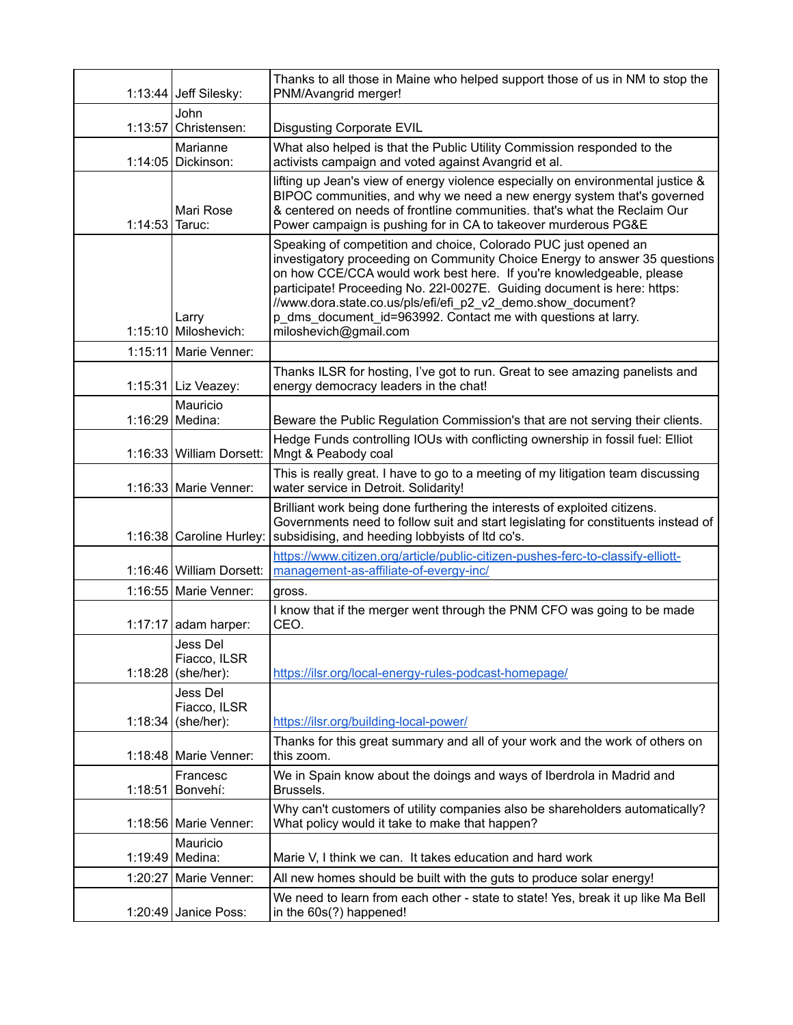|                | $1:13:44$ Jeff Silesky:                | Thanks to all those in Maine who helped support those of us in NM to stop the<br>PNM/Avangrid merger!                                                                                                                                                                                                                                                                                                                                                      |
|----------------|----------------------------------------|------------------------------------------------------------------------------------------------------------------------------------------------------------------------------------------------------------------------------------------------------------------------------------------------------------------------------------------------------------------------------------------------------------------------------------------------------------|
| 1:13:57        | John<br>Christensen:                   | <b>Disgusting Corporate EVIL</b>                                                                                                                                                                                                                                                                                                                                                                                                                           |
|                | Marianne<br>1:14:05 Dickinson:         | What also helped is that the Public Utility Commission responded to the<br>activists campaign and voted against Avangrid et al.                                                                                                                                                                                                                                                                                                                            |
| 1:14:53 Taruc: | Mari Rose                              | lifting up Jean's view of energy violence especially on environmental justice &<br>BIPOC communities, and why we need a new energy system that's governed<br>& centered on needs of frontline communities. that's what the Reclaim Our<br>Power campaign is pushing for in CA to takeover murderous PG&E                                                                                                                                                   |
|                | Larry<br>1:15:10 Miloshevich:          | Speaking of competition and choice, Colorado PUC just opened an<br>investigatory proceeding on Community Choice Energy to answer 35 questions<br>on how CCE/CCA would work best here. If you're knowledgeable, please<br>participate! Proceeding No. 22I-0027E. Guiding document is here: https:<br>//www.dora.state.co.us/pls/efi/efi_p2_v2_demo.show_document?<br>p dms document id=963992. Contact me with questions at larry.<br>miloshevich@gmail.com |
|                | 1:15:11 Marie Venner:                  |                                                                                                                                                                                                                                                                                                                                                                                                                                                            |
|                | 1:15:31 Liz Veazey:                    | Thanks ILSR for hosting, I've got to run. Great to see amazing panelists and<br>energy democracy leaders in the chat!                                                                                                                                                                                                                                                                                                                                      |
|                | Mauricio<br>1:16:29 Medina:            | Beware the Public Regulation Commission's that are not serving their clients.                                                                                                                                                                                                                                                                                                                                                                              |
|                | 1:16:33 William Dorsett:               | Hedge Funds controlling IOUs with conflicting ownership in fossil fuel: Elliot<br>Mngt & Peabody coal                                                                                                                                                                                                                                                                                                                                                      |
|                | 1:16:33   Marie Venner:                | This is really great. I have to go to a meeting of my litigation team discussing<br>water service in Detroit. Solidarity!                                                                                                                                                                                                                                                                                                                                  |
|                | 1:16:38 Caroline Hurley:               | Brilliant work being done furthering the interests of exploited citizens.<br>Governments need to follow suit and start legislating for constituents instead of<br>subsidising, and heeding lobbyists of ltd co's.                                                                                                                                                                                                                                          |
|                | 1:16:46 William Dorsett:               | https://www.citizen.org/article/public-citizen-pushes-ferc-to-classify-elliott-<br>management-as-affiliate-of-evergy-inc/                                                                                                                                                                                                                                                                                                                                  |
|                | 1:16:55 Marie Venner:                  | gross.                                                                                                                                                                                                                                                                                                                                                                                                                                                     |
|                | $1:17:17$ adam harper:                 | I know that if the merger went through the PNM CFO was going to be made<br>CEO.                                                                                                                                                                                                                                                                                                                                                                            |
| 1:18:28        | Jess Del<br>Fiacco, ILSR<br>(she/her): | https://ilsr.org/local-energy-rules-podcast-homepage/                                                                                                                                                                                                                                                                                                                                                                                                      |
| 1:18:34        | Jess Del<br>Fiacco, ILSR<br>(she/her): | https://ilsr.org/building-local-power/                                                                                                                                                                                                                                                                                                                                                                                                                     |
|                | 1:18:48   Marie Venner:                | Thanks for this great summary and all of your work and the work of others on<br>this zoom.                                                                                                                                                                                                                                                                                                                                                                 |
| 1:18:51        | Francesc<br>Bonvehí:                   | We in Spain know about the doings and ways of Iberdrola in Madrid and<br>Brussels.                                                                                                                                                                                                                                                                                                                                                                         |
|                | 1:18:56   Marie Venner:                | Why can't customers of utility companies also be shareholders automatically?<br>What policy would it take to make that happen?                                                                                                                                                                                                                                                                                                                             |
|                | Mauricio<br>1:19:49 Medina:            | Marie V, I think we can. It takes education and hard work                                                                                                                                                                                                                                                                                                                                                                                                  |
|                | 1:20:27 Marie Venner:                  | All new homes should be built with the guts to produce solar energy!                                                                                                                                                                                                                                                                                                                                                                                       |
|                | 1:20:49 Janice Poss:                   | We need to learn from each other - state to state! Yes, break it up like Ma Bell<br>in the 60s(?) happened!                                                                                                                                                                                                                                                                                                                                                |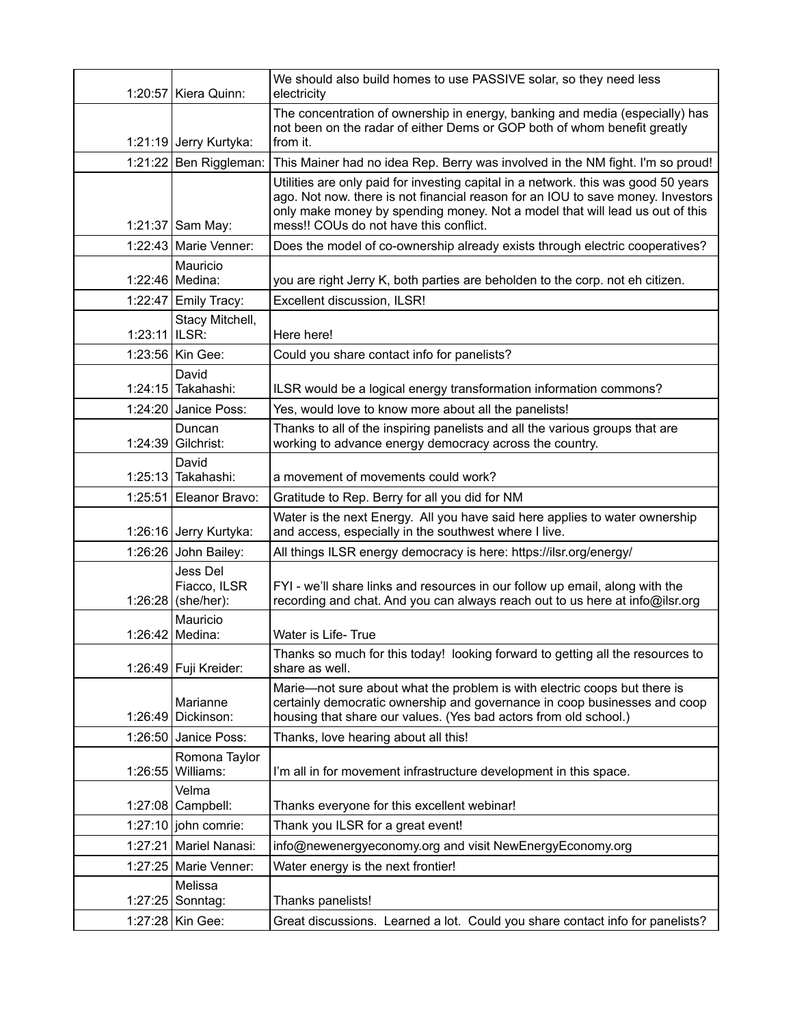|                 | 1:20:57   Kiera Quinn:                         | We should also build homes to use PASSIVE solar, so they need less<br>electricity                                                                                                                                                                                                               |
|-----------------|------------------------------------------------|-------------------------------------------------------------------------------------------------------------------------------------------------------------------------------------------------------------------------------------------------------------------------------------------------|
|                 | 1:21:19 Jerry Kurtyka:                         | The concentration of ownership in energy, banking and media (especially) has<br>not been on the radar of either Dems or GOP both of whom benefit greatly<br>from it.                                                                                                                            |
|                 | 1:21:22 Ben Riggleman:                         | This Mainer had no idea Rep. Berry was involved in the NM fight. I'm so proud!                                                                                                                                                                                                                  |
|                 | 1:21:37 Sam May:                               | Utilities are only paid for investing capital in a network. this was good 50 years<br>ago. Not now. there is not financial reason for an IOU to save money. Investors<br>only make money by spending money. Not a model that will lead us out of this<br>mess!! COUs do not have this conflict. |
|                 | 1:22:43   Marie Venner:                        | Does the model of co-ownership already exists through electric cooperatives?                                                                                                                                                                                                                    |
|                 | Mauricio<br>1:22:46 Medina:                    | you are right Jerry K, both parties are beholden to the corp. not eh citizen.                                                                                                                                                                                                                   |
|                 | 1:22:47 Emily Tracy:                           | Excellent discussion, ILSR!                                                                                                                                                                                                                                                                     |
| $1:23:11$ ILSR: | Stacy Mitchell,                                | Here here!                                                                                                                                                                                                                                                                                      |
|                 | 1:23:56 Kin Gee:                               | Could you share contact info for panelists?                                                                                                                                                                                                                                                     |
|                 | David<br>1:24:15 Takahashi:                    | ILSR would be a logical energy transformation information commons?                                                                                                                                                                                                                              |
|                 | 1:24:20 Janice Poss:                           | Yes, would love to know more about all the panelists!                                                                                                                                                                                                                                           |
|                 | Duncan<br>1:24:39 Gilchrist:                   | Thanks to all of the inspiring panelists and all the various groups that are<br>working to advance energy democracy across the country.                                                                                                                                                         |
|                 | David<br>1:25:13 Takahashi:                    | a movement of movements could work?                                                                                                                                                                                                                                                             |
|                 | 1:25:51 Eleanor Bravo:                         | Gratitude to Rep. Berry for all you did for NM                                                                                                                                                                                                                                                  |
|                 | 1:26:16 Jerry Kurtyka:                         | Water is the next Energy. All you have said here applies to water ownership<br>and access, especially in the southwest where I live.                                                                                                                                                            |
|                 | 1:26:26 John Bailey:                           | All things ILSR energy democracy is here: https://ilsr.org/energy/                                                                                                                                                                                                                              |
|                 | Jess Del<br>Fiacco, ILSR<br>1:26:28 (she/her): | FYI - we'll share links and resources in our follow up email, along with the<br>recording and chat. And you can always reach out to us here at info@ilsr.org                                                                                                                                    |
|                 | Mauricio<br>1:26:42 Medina:                    | Water is Life-True                                                                                                                                                                                                                                                                              |
|                 | 1:26:49 Fuji Kreider:                          | Thanks so much for this today! looking forward to getting all the resources to<br>share as well.                                                                                                                                                                                                |
|                 | Marianne<br>1:26:49 Dickinson:                 | Marie-not sure about what the problem is with electric coops but there is<br>certainly democratic ownership and governance in coop businesses and coop<br>housing that share our values. (Yes bad actors from old school.)                                                                      |
|                 | $1:26:50$ Janice Poss:                         | Thanks, love hearing about all this!                                                                                                                                                                                                                                                            |
| 1:26:55         | Romona Taylor<br>Williams:                     | I'm all in for movement infrastructure development in this space.                                                                                                                                                                                                                               |
|                 | Velma<br>1:27:08 Campbell:                     | Thanks everyone for this excellent webinar!                                                                                                                                                                                                                                                     |
|                 | 1:27:10 john comrie:                           | Thank you ILSR for a great event!                                                                                                                                                                                                                                                               |
|                 | 1:27:21   Mariel Nanasi:                       | info@newenergyeconomy.org and visit NewEnergyEconomy.org                                                                                                                                                                                                                                        |
|                 | 1:27:25   Marie Venner:                        | Water energy is the next frontier!                                                                                                                                                                                                                                                              |
|                 | Melissa<br>1:27:25 Sonntag:                    | Thanks panelists!                                                                                                                                                                                                                                                                               |
|                 | 1:27:28 Kin Gee:                               | Great discussions. Learned a lot. Could you share contact info for panelists?                                                                                                                                                                                                                   |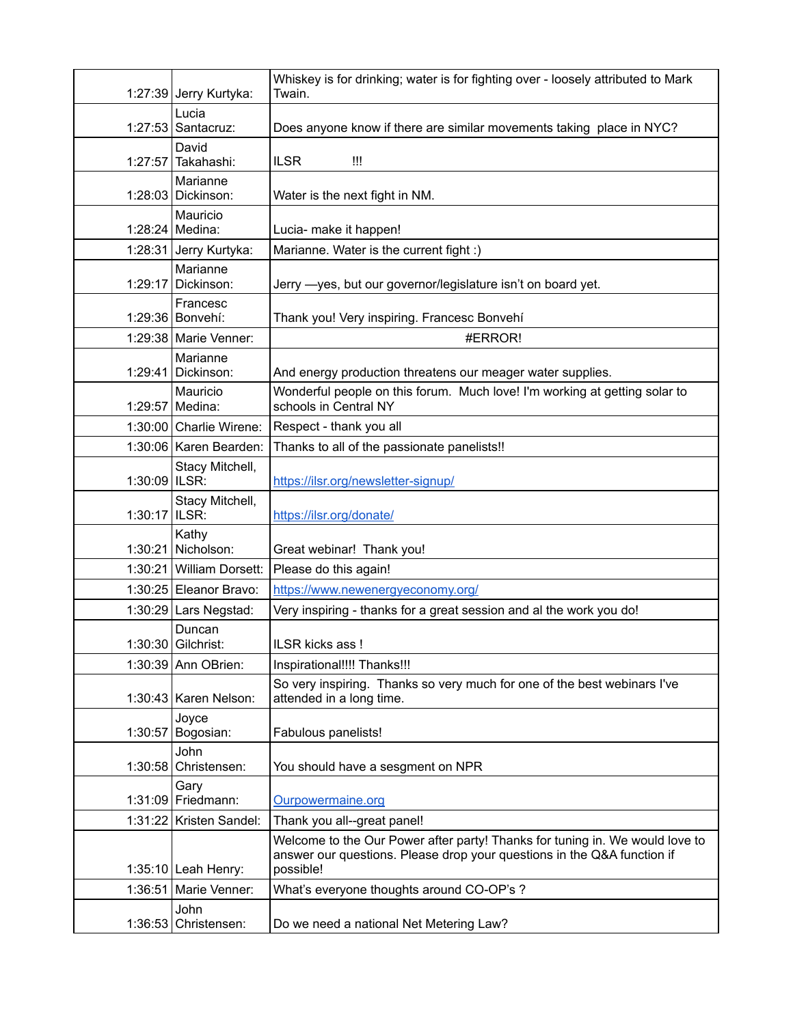|               | 1:27:39 Jerry Kurtyka:         | Whiskey is for drinking; water is for fighting over - loosely attributed to Mark<br>Twain.                                                                           |
|---------------|--------------------------------|----------------------------------------------------------------------------------------------------------------------------------------------------------------------|
| 1:27:53       | Lucia<br>Santacruz:            | Does anyone know if there are similar movements taking place in NYC?                                                                                                 |
| 1:27:57       | David<br>Takahashi:            | <b>ILSR</b><br>Ш                                                                                                                                                     |
|               | Marianne<br>1:28:03 Dickinson: | Water is the next fight in NM.                                                                                                                                       |
|               | Mauricio<br>1:28:24 Medina:    | Lucia- make it happen!                                                                                                                                               |
|               | 1:28:31 Jerry Kurtyka:         | Marianne. Water is the current fight :)                                                                                                                              |
| 1:29:17       | Marianne<br>Dickinson:         | Jerry - yes, but our governor/legislature isn't on board yet.                                                                                                        |
|               | Francesc<br>1:29:36   Bonvehí: | Thank you! Very inspiring. Francesc Bonvehí                                                                                                                          |
|               | 1:29:38 Marie Venner:          | #ERROR!                                                                                                                                                              |
|               | Marianne<br>1:29:41 Dickinson: | And energy production threatens our meager water supplies.                                                                                                           |
|               | Mauricio<br>1:29:57 Medina:    | Wonderful people on this forum. Much love! I'm working at getting solar to<br>schools in Central NY                                                                  |
|               | 1:30:00 Charlie Wirene:        | Respect - thank you all                                                                                                                                              |
|               | 1:30:06 Karen Bearden:         | Thanks to all of the passionate panelists!!                                                                                                                          |
| 1:30:09 ILSR: | Stacy Mitchell,                | https://ilsr.org/newsletter-signup/                                                                                                                                  |
| 1:30:17 ILSR: | Stacy Mitchell,                | https://ilsr.org/donate/                                                                                                                                             |
|               | Kathy<br>1:30:21 Nicholson:    | Great webinar! Thank you!                                                                                                                                            |
|               | 1:30:21 William Dorsett:       | Please do this again!                                                                                                                                                |
|               | 1:30:25 Eleanor Bravo:         | https://www.newenergyeconomy.org/                                                                                                                                    |
|               | $1:30:29$ Lars Negstad:        | Very inspiring - thanks for a great session and al the work you do!                                                                                                  |
|               | Duncan<br>1:30:30 Gilchrist:   | ILSR kicks ass!                                                                                                                                                      |
|               | 1:30:39 Ann OBrien:            | Inspirational!!!! Thanks!!!                                                                                                                                          |
|               | $1:30:43$ Karen Nelson:        | So very inspiring. Thanks so very much for one of the best webinars I've<br>attended in a long time.                                                                 |
|               | Joyce<br>1:30:57 Bogosian:     | Fabulous panelists!                                                                                                                                                  |
|               | John<br>$1:30:58$ Christensen: | You should have a sesgment on NPR                                                                                                                                    |
|               | Gary<br>$1:31:09$ Friedmann:   | Ourpowermaine.org                                                                                                                                                    |
| 1:31:22       | Kristen Sandel:                | Thank you all--great panel!                                                                                                                                          |
|               | $1:35:10$ Leah Henry:          | Welcome to the Our Power after party! Thanks for tuning in. We would love to<br>answer our questions. Please drop your questions in the Q&A function if<br>possible! |
|               | 1:36:51 Marie Venner:          | What's everyone thoughts around CO-OP's ?                                                                                                                            |
|               | John<br>$1:36:53$ Christensen: | Do we need a national Net Metering Law?                                                                                                                              |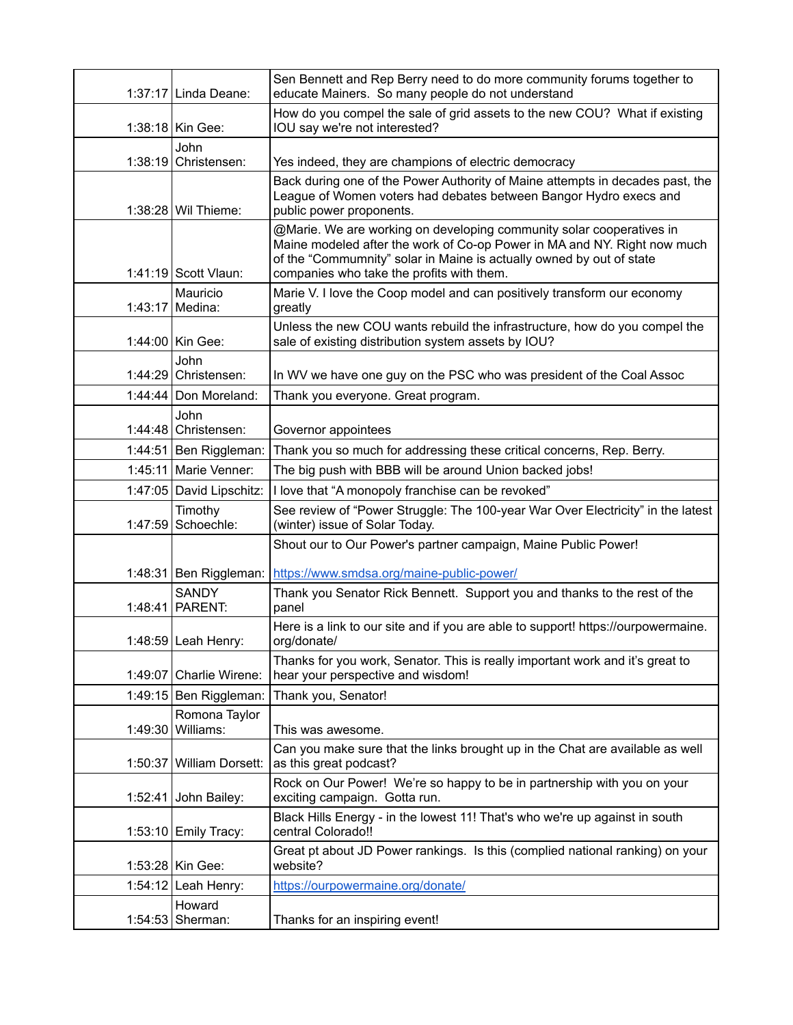|         | 1:37:17   Linda Deane:             | Sen Bennett and Rep Berry need to do more community forums together to<br>educate Mainers. So many people do not understand                                                                                                                                           |
|---------|------------------------------------|-----------------------------------------------------------------------------------------------------------------------------------------------------------------------------------------------------------------------------------------------------------------------|
|         | 1:38:18   Kin Gee:                 | How do you compel the sale of grid assets to the new COU? What if existing<br>IOU say we're not interested?                                                                                                                                                           |
|         | John                               |                                                                                                                                                                                                                                                                       |
|         | 1:38:19 Christensen:               | Yes indeed, they are champions of electric democracy                                                                                                                                                                                                                  |
|         | 1:38:28 Wil Thieme:                | Back during one of the Power Authority of Maine attempts in decades past, the<br>League of Women voters had debates between Bangor Hydro execs and<br>public power proponents.                                                                                        |
|         | 1:41:19 Scott Vlaun:               | @Marie. We are working on developing community solar cooperatives in<br>Maine modeled after the work of Co-op Power in MA and NY. Right now much<br>of the "Commumnity" solar in Maine is actually owned by out of state<br>companies who take the profits with them. |
|         | Mauricio<br>1:43:17 Medina:        | Marie V. I love the Coop model and can positively transform our economy<br>greatly                                                                                                                                                                                    |
|         | 1:44:00 Kin Gee:                   | Unless the new COU wants rebuild the infrastructure, how do you compel the<br>sale of existing distribution system assets by IOU?                                                                                                                                     |
|         | John                               |                                                                                                                                                                                                                                                                       |
|         | $1:44:29$ Christensen:             | In WV we have one guy on the PSC who was president of the Coal Assoc                                                                                                                                                                                                  |
|         | $1:44:44$ Don Moreland:            | Thank you everyone. Great program.                                                                                                                                                                                                                                    |
|         | John<br>$1:44:48$ Christensen:     | Governor appointees                                                                                                                                                                                                                                                   |
|         | 1:44:51 Ben Riggleman:             | Thank you so much for addressing these critical concerns, Rep. Berry.                                                                                                                                                                                                 |
|         | 1:45:11 Marie Venner:              | The big push with BBB will be around Union backed jobs!                                                                                                                                                                                                               |
|         | 1:47:05 David Lipschitz:           | I love that "A monopoly franchise can be revoked"                                                                                                                                                                                                                     |
| 1:47:59 | Timothy<br>Schoechle:              | See review of "Power Struggle: The 100-year War Over Electricity" in the latest<br>(winter) issue of Solar Today.                                                                                                                                                     |
|         |                                    | Shout our to Our Power's partner campaign, Maine Public Power!                                                                                                                                                                                                        |
|         | 1:48:31 Ben Riggleman:             | https://www.smdsa.org/maine-public-power/                                                                                                                                                                                                                             |
|         | <b>SANDY</b>                       | Thank you Senator Rick Bennett. Support you and thanks to the rest of the                                                                                                                                                                                             |
| 1:48:41 | PARENT:                            | panel                                                                                                                                                                                                                                                                 |
|         | 1:48:59 Leah Henry:                | Here is a link to our site and if you are able to support! https://ourpowermaine.<br>org/donate/                                                                                                                                                                      |
|         | 1:49:07 Charlie Wirene:            | Thanks for you work, Senator. This is really important work and it's great to<br>hear your perspective and wisdom!                                                                                                                                                    |
|         | 1:49:15 Ben Riggleman:             | Thank you, Senator!                                                                                                                                                                                                                                                   |
|         | Romona Taylor<br>1:49:30 Williams: | This was awesome.                                                                                                                                                                                                                                                     |
|         | 1:50:37 William Dorsett:           | Can you make sure that the links brought up in the Chat are available as well<br>as this great podcast?                                                                                                                                                               |
|         | 1:52:41 John Bailey:               | Rock on Our Power! We're so happy to be in partnership with you on your<br>exciting campaign. Gotta run.                                                                                                                                                              |
|         | 1:53:10 Emily Tracy:               | Black Hills Energy - in the lowest 11! That's who we're up against in south<br>central Colorado!!                                                                                                                                                                     |
|         | 1:53:28 Kin Gee:                   | Great pt about JD Power rankings. Is this (complied national ranking) on your<br>website?                                                                                                                                                                             |
|         | 1:54:12 Leah Henry:                | https://ourpowermaine.org/donate/                                                                                                                                                                                                                                     |
|         | Howard<br>1:54:53 Sherman:         | Thanks for an inspiring event!                                                                                                                                                                                                                                        |
|         |                                    |                                                                                                                                                                                                                                                                       |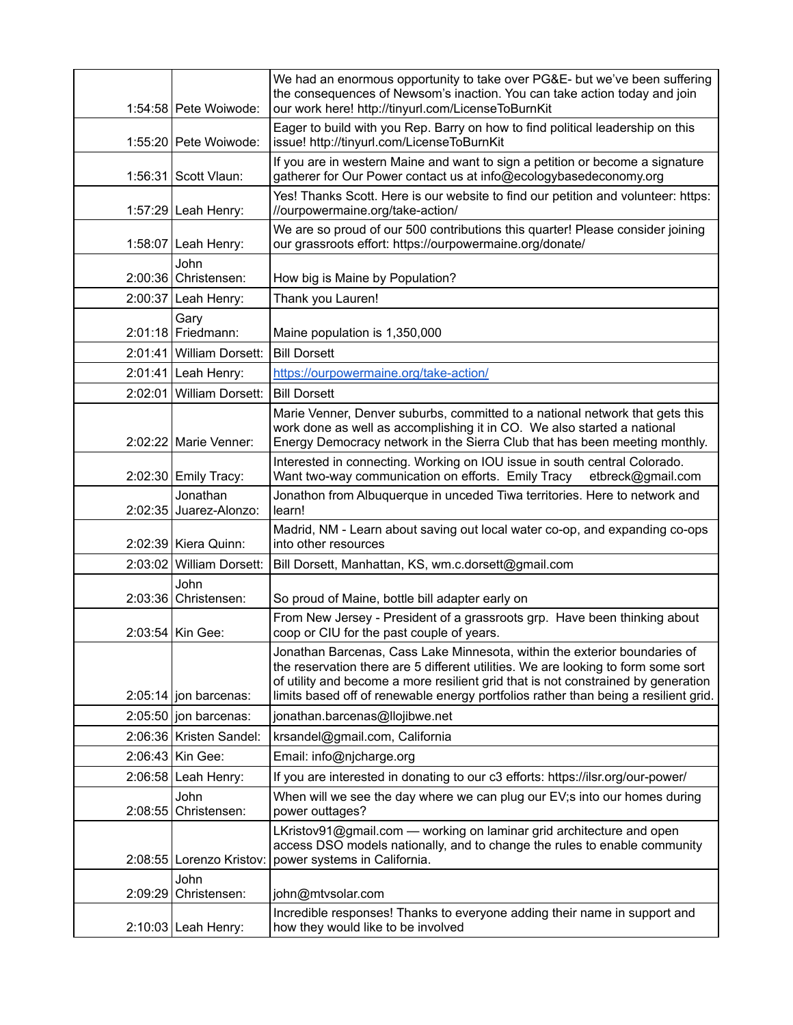| 1:54:58 Pete Woiwode:              | We had an enormous opportunity to take over PG&E- but we've been suffering<br>the consequences of Newsom's inaction. You can take action today and join<br>our work here! http://tinyurl.com/LicenseToBurnKit                                                                                                                              |
|------------------------------------|--------------------------------------------------------------------------------------------------------------------------------------------------------------------------------------------------------------------------------------------------------------------------------------------------------------------------------------------|
| 1:55:20 Pete Woiwode:              | Eager to build with you Rep. Barry on how to find political leadership on this<br>issue! http://tinyurl.com/LicenseToBurnKit                                                                                                                                                                                                               |
| 1:56:31 Scott Vlaun:               | If you are in western Maine and want to sign a petition or become a signature<br>gatherer for Our Power contact us at info@ecologybasedeconomy.org                                                                                                                                                                                         |
| 1:57:29 Leah Henry:                | Yes! Thanks Scott. Here is our website to find our petition and volunteer: https:<br>//ourpowermaine.org/take-action/                                                                                                                                                                                                                      |
| 1:58:07 Leah Henry:                | We are so proud of our 500 contributions this quarter! Please consider joining<br>our grassroots effort: https://ourpowermaine.org/donate/                                                                                                                                                                                                 |
| John<br>2:00:36 Christensen:       | How big is Maine by Population?                                                                                                                                                                                                                                                                                                            |
| 2:00:37 Leah Henry:                | Thank you Lauren!                                                                                                                                                                                                                                                                                                                          |
| Gary<br>2:01:18 Friedmann:         | Maine population is 1,350,000                                                                                                                                                                                                                                                                                                              |
| 2:01:41 William Dorsett:           | <b>Bill Dorsett</b>                                                                                                                                                                                                                                                                                                                        |
| $2:01:41$ Leah Henry:              | https://ourpowermaine.org/take-action/                                                                                                                                                                                                                                                                                                     |
| 2:02:01 William Dorsett:           | <b>Bill Dorsett</b>                                                                                                                                                                                                                                                                                                                        |
| 2:02:22 Marie Venner:              | Marie Venner, Denver suburbs, committed to a national network that gets this<br>work done as well as accomplishing it in CO. We also started a national<br>Energy Democracy network in the Sierra Club that has been meeting monthly.                                                                                                      |
|                                    |                                                                                                                                                                                                                                                                                                                                            |
| 2:02:30 Emily Tracy:               | Interested in connecting. Working on IOU issue in south central Colorado.<br>Want two-way communication on efforts. Emily Tracy<br>etbreck@gmail.com                                                                                                                                                                                       |
| Jonathan<br>2:02:35 Juarez-Alonzo: | Jonathon from Albuquerque in unceded Tiwa territories. Here to network and<br>learn!                                                                                                                                                                                                                                                       |
| 2:02:39   Kiera Quinn:             | Madrid, NM - Learn about saving out local water co-op, and expanding co-ops<br>into other resources                                                                                                                                                                                                                                        |
| 2:03:02 William Dorsett:           | Bill Dorsett, Manhattan, KS, wm.c.dorsett@gmail.com                                                                                                                                                                                                                                                                                        |
| John<br>$2:03:36$ Christensen:     | So proud of Maine, bottle bill adapter early on                                                                                                                                                                                                                                                                                            |
| 2:03:54 Kin Gee:                   | From New Jersey - President of a grassroots grp. Have been thinking about<br>coop or CIU for the past couple of years.                                                                                                                                                                                                                     |
| $2:05:14$ jon barcenas:            | Jonathan Barcenas, Cass Lake Minnesota, within the exterior boundaries of<br>the reservation there are 5 different utilities. We are looking to form some sort<br>of utility and become a more resilient grid that is not constrained by generation<br>limits based off of renewable energy portfolios rather than being a resilient grid. |
| $2:05:50$ jon barcenas:            | jonathan.barcenas@llojibwe.net                                                                                                                                                                                                                                                                                                             |
| 2:06:36   Kristen Sandel:          | krsandel@gmail.com, California                                                                                                                                                                                                                                                                                                             |
| 2:06:43   Kin Gee:                 | Email: info@njcharge.org                                                                                                                                                                                                                                                                                                                   |
| $2:06:58$ Leah Henry:              | If you are interested in donating to our c3 efforts: https://ilsr.org/our-power/                                                                                                                                                                                                                                                           |
| John                               | When will we see the day where we can plug our EV; s into our homes during                                                                                                                                                                                                                                                                 |
| 2:08:55 Christensen:               | power outtages?                                                                                                                                                                                                                                                                                                                            |
| 2:08:55   Lorenzo Kristov:         | LKristov91@gmail.com — working on laminar grid architecture and open<br>access DSO models nationally, and to change the rules to enable community<br>power systems in California.                                                                                                                                                          |
| John<br>2:09:29 Christensen:       | john@mtvsolar.com                                                                                                                                                                                                                                                                                                                          |
| $2:10:03$ Leah Henry:              | Incredible responses! Thanks to everyone adding their name in support and<br>how they would like to be involved                                                                                                                                                                                                                            |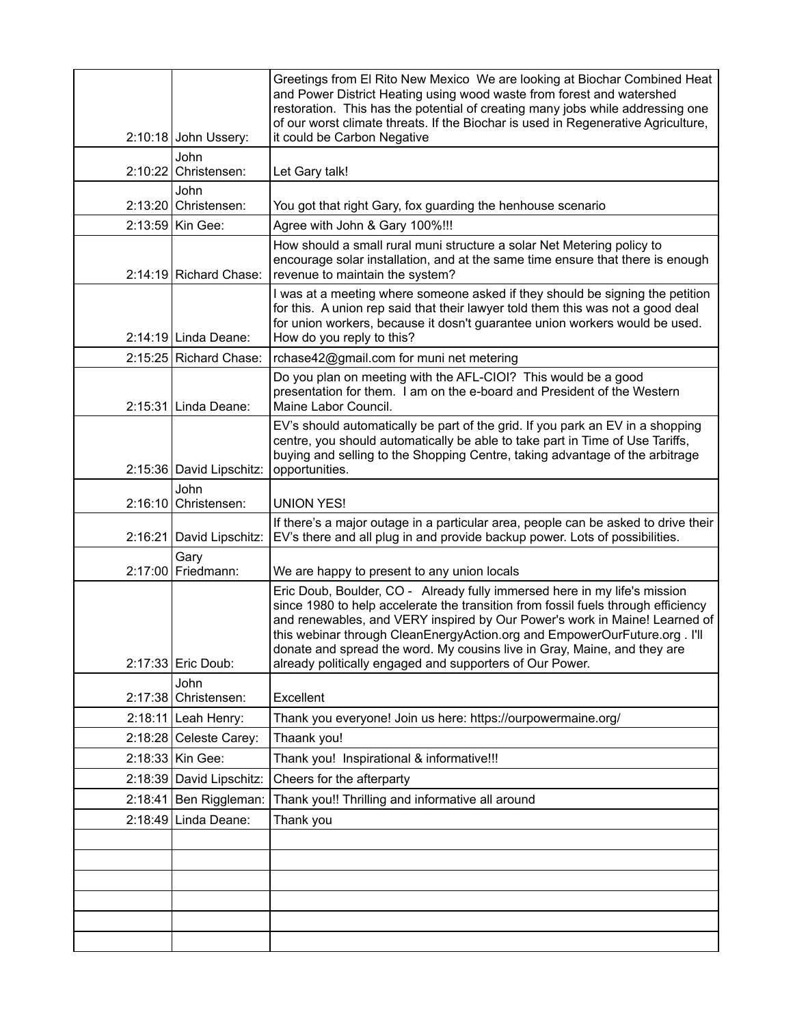| 2:10:18 John Ussery:           | Greetings from El Rito New Mexico We are looking at Biochar Combined Heat<br>and Power District Heating using wood waste from forest and watershed<br>restoration. This has the potential of creating many jobs while addressing one<br>of our worst climate threats. If the Biochar is used in Regenerative Agriculture,<br>it could be Carbon Negative                                                                                                          |
|--------------------------------|-------------------------------------------------------------------------------------------------------------------------------------------------------------------------------------------------------------------------------------------------------------------------------------------------------------------------------------------------------------------------------------------------------------------------------------------------------------------|
| John<br>$2:10:22$ Christensen: | Let Gary talk!                                                                                                                                                                                                                                                                                                                                                                                                                                                    |
| John<br>2:13:20 Christensen:   | You got that right Gary, fox guarding the henhouse scenario                                                                                                                                                                                                                                                                                                                                                                                                       |
| 2:13:59 Kin Gee:               | Agree with John & Gary 100%!!!                                                                                                                                                                                                                                                                                                                                                                                                                                    |
| 2:14:19 Richard Chase:         | How should a small rural muni structure a solar Net Metering policy to<br>encourage solar installation, and at the same time ensure that there is enough<br>revenue to maintain the system?                                                                                                                                                                                                                                                                       |
| 2:14:19 Linda Deane:           | I was at a meeting where someone asked if they should be signing the petition<br>for this. A union rep said that their lawyer told them this was not a good deal<br>for union workers, because it dosn't guarantee union workers would be used.<br>How do you reply to this?                                                                                                                                                                                      |
| 2:15:25 Richard Chase:         | rchase42@gmail.com for muni net metering                                                                                                                                                                                                                                                                                                                                                                                                                          |
| 2:15:31 Linda Deane:           | Do you plan on meeting with the AFL-CIOI? This would be a good<br>presentation for them. I am on the e-board and President of the Western<br>Maine Labor Council.                                                                                                                                                                                                                                                                                                 |
| 2:15:36 David Lipschitz:       | EV's should automatically be part of the grid. If you park an EV in a shopping<br>centre, you should automatically be able to take part in Time of Use Tariffs,<br>buying and selling to the Shopping Centre, taking advantage of the arbitrage<br>opportunities.                                                                                                                                                                                                 |
| John<br>$2:16:10$ Christensen: | <b>UNION YES!</b>                                                                                                                                                                                                                                                                                                                                                                                                                                                 |
| 2:16:21 David Lipschitz:       | If there's a major outage in a particular area, people can be asked to drive their<br>EV's there and all plug in and provide backup power. Lots of possibilities.                                                                                                                                                                                                                                                                                                 |
| Gary<br>2:17:00 Friedmann:     | We are happy to present to any union locals                                                                                                                                                                                                                                                                                                                                                                                                                       |
| 2:17:33 Eric Doub:             | Eric Doub, Boulder, CO - Already fully immersed here in my life's mission<br>since 1980 to help accelerate the transition from fossil fuels through efficiency<br>and renewables, and VERY inspired by Our Power's work in Maine! Learned of<br>this webinar through CleanEnergyAction.org and EmpowerOurFuture.org. I'll<br>donate and spread the word. My cousins live in Gray, Maine, and they are<br>already politically engaged and supporters of Our Power. |
| John<br>2:17:38 Christensen:   | Excellent                                                                                                                                                                                                                                                                                                                                                                                                                                                         |
| $2:18:11$ Leah Henry:          | Thank you everyone! Join us here: https://ourpowermaine.org/                                                                                                                                                                                                                                                                                                                                                                                                      |
| $2:18:28$ Celeste Carey:       | Thaank you!                                                                                                                                                                                                                                                                                                                                                                                                                                                       |
| 2:18:33 Kin Gee:               | Thank you! Inspirational & informative!!!                                                                                                                                                                                                                                                                                                                                                                                                                         |
| 2:18:39 David Lipschitz:       | Cheers for the afterparty                                                                                                                                                                                                                                                                                                                                                                                                                                         |
| 2:18:41 Ben Riggleman:         | Thank you!! Thrilling and informative all around                                                                                                                                                                                                                                                                                                                                                                                                                  |
| $2:18:49$ Linda Deane:         | Thank you                                                                                                                                                                                                                                                                                                                                                                                                                                                         |
|                                |                                                                                                                                                                                                                                                                                                                                                                                                                                                                   |
|                                |                                                                                                                                                                                                                                                                                                                                                                                                                                                                   |
|                                |                                                                                                                                                                                                                                                                                                                                                                                                                                                                   |
|                                |                                                                                                                                                                                                                                                                                                                                                                                                                                                                   |
|                                |                                                                                                                                                                                                                                                                                                                                                                                                                                                                   |
|                                |                                                                                                                                                                                                                                                                                                                                                                                                                                                                   |